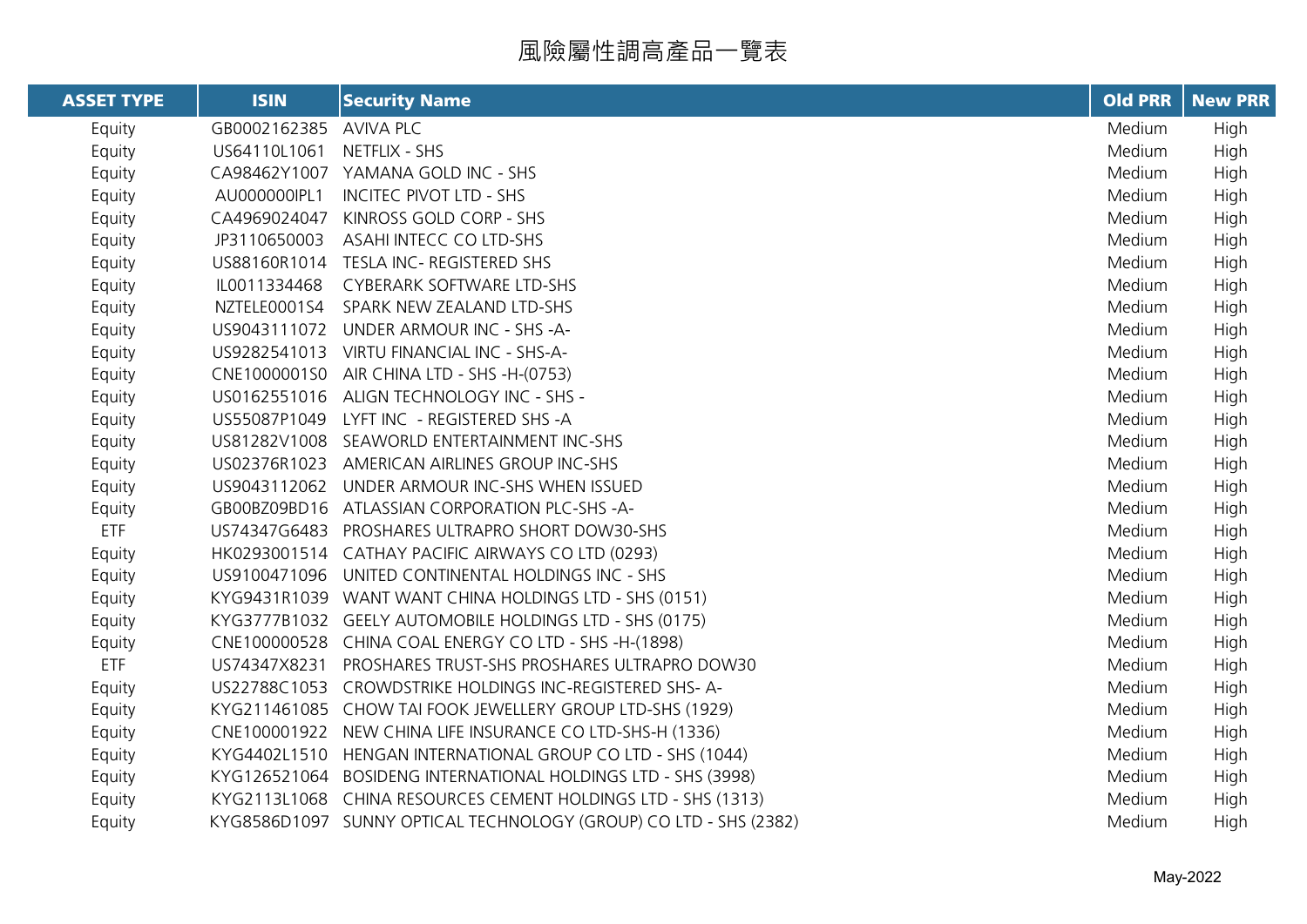風險屬性調高產品一覽表

| <b>ASSET TYPE</b> | <b>ISIN</b>  | <b>Security Name</b>                                              | <b>Old PRR</b> | <b>New PRR</b> |
|-------------------|--------------|-------------------------------------------------------------------|----------------|----------------|
| Equity            | GB0002162385 | <b>AVIVA PLC</b>                                                  | Medium         | High           |
| Equity            | US64110L1061 | NETFLIX - SHS                                                     | Medium         | High           |
| Equity            |              | CA98462Y1007 YAMANA GOLD INC - SHS                                | Medium         | High           |
| Equity            | AU000000IPL1 | <b>INCITEC PIVOT LTD - SHS</b>                                    | Medium         | High           |
| Equity            | CA4969024047 | KINROSS GOLD CORP - SHS                                           | Medium         | High           |
| Equity            | JP3110650003 | ASAHI INTECC CO LTD-SHS                                           | Medium         | High           |
| Equity            |              | US88160R1014 TESLA INC-REGISTERED SHS                             | Medium         | High           |
| Equity            | IL0011334468 | CYBERARK SOFTWARE LTD-SHS                                         | Medium         | High           |
| Equity            | NZTELE0001S4 | SPARK NEW ZEALAND LTD-SHS                                         | Medium         | High           |
| Equity            |              | US9043111072 UNDER ARMOUR INC - SHS -A-                           | Medium         | High           |
| Equity            |              | US9282541013 VIRTU FINANCIAL INC - SHS-A-                         | Medium         | High           |
| Equity            |              | CNE1000001S0 AIR CHINA LTD - SHS -H-(0753)                        | Medium         | High           |
| Equity            |              | US0162551016 ALIGN TECHNOLOGY INC - SHS -                         | Medium         | High           |
| Equity            |              | US55087P1049 LYFT INC - REGISTERED SHS -A                         | Medium         | High           |
| Equity            |              | US81282V1008 SEAWORLD ENTERTAINMENT INC-SHS                       | Medium         | High           |
| Equity            |              | US02376R1023 AMERICAN AIRLINES GROUP INC-SHS                      | Medium         | High           |
| Equity            |              | US9043112062 UNDER ARMOUR INC-SHS WHEN ISSUED                     | Medium         | High           |
| Equity            |              | GB00BZ09BD16 ATLASSIAN CORPORATION PLC-SHS-A-                     | Medium         | High           |
| <b>ETF</b>        |              | US74347G6483 PROSHARES ULTRAPRO SHORT DOW30-SHS                   | Medium         | High           |
| Equity            |              | HK0293001514 CATHAY PACIFIC AIRWAYS CO LTD (0293)                 | Medium         | High           |
| Equity            |              | US9100471096 UNITED CONTINENTAL HOLDINGS INC - SHS                | Medium         | High           |
| Equity            |              | KYG9431R1039 WANT WANT CHINA HOLDINGS LTD - SHS (0151)            | Medium         | High           |
| Equity            |              | KYG3777B1032 GEELY AUTOMOBILE HOLDINGS LTD - SHS (0175)           | Medium         | High           |
| Equity            |              | CNE100000528 CHINA COAL ENERGY CO LTD - SHS -H-(1898)             | Medium         | High           |
| <b>ETF</b>        |              | US74347X8231 PROSHARES TRUST-SHS PROSHARES ULTRAPRO DOW30         | Medium         | High           |
| Equity            |              | US22788C1053 CROWDSTRIKE HOLDINGS INC-REGISTERED SHS-A-           | Medium         | High           |
| Equity            |              | KYG211461085 CHOW TAI FOOK JEWELLERY GROUP LTD-SHS (1929)         | Medium         | High           |
| Equity            |              | CNE100001922 NEW CHINA LIFE INSURANCE CO LTD-SHS-H (1336)         | Medium         | High           |
| Equity            |              | KYG4402L1510 HENGAN INTERNATIONAL GROUP CO LTD - SHS (1044)       | Medium         | High           |
| Equity            |              | KYG126521064 BOSIDENG INTERNATIONAL HOLDINGS LTD - SHS (3998)     | Medium         | High           |
| Equity            |              | KYG2113L1068 CHINA RESOURCES CEMENT HOLDINGS LTD - SHS (1313)     | Medium         | High           |
| Equity            |              | KYG8586D1097 SUNNY OPTICAL TECHNOLOGY (GROUP) CO LTD - SHS (2382) | Medium         | High           |